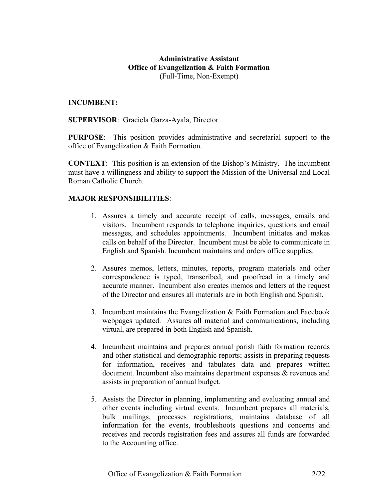### **Administrative Assistant Office of Evangelization & Faith Formation** (Full-Time, Non-Exempt)

#### **INCUMBENT:**

#### **SUPERVISOR**: Graciela Garza-Ayala, Director

**PURPOSE**: This position provides administrative and secretarial support to the office of Evangelization & Faith Formation.

**CONTEXT**: This position is an extension of the Bishop's Ministry. The incumbent must have a willingness and ability to support the Mission of the Universal and Local Roman Catholic Church.

### **MAJOR RESPONSIBILITIES**:

- 1. Assures a timely and accurate receipt of calls, messages, emails and visitors. Incumbent responds to telephone inquiries, questions and email messages, and schedules appointments. Incumbent initiates and makes calls on behalf of the Director. Incumbent must be able to communicate in English and Spanish. Incumbent maintains and orders office supplies.
- 2. Assures memos, letters, minutes, reports, program materials and other correspondence is typed, transcribed, and proofread in a timely and accurate manner. Incumbent also creates memos and letters at the request of the Director and ensures all materials are in both English and Spanish.
- 3. Incumbent maintains the Evangelization & Faith Formation and Facebook webpages updated. Assures all material and communications, including virtual, are prepared in both English and Spanish.
- 4. Incumbent maintains and prepares annual parish faith formation records and other statistical and demographic reports; assists in preparing requests for information, receives and tabulates data and prepares written document. Incumbent also maintains department expenses & revenues and assists in preparation of annual budget.
- 5. Assists the Director in planning, implementing and evaluating annual and other events including virtual events. Incumbent prepares all materials, bulk mailings, processes registrations, maintains database of all information for the events, troubleshoots questions and concerns and receives and records registration fees and assures all funds are forwarded to the Accounting office.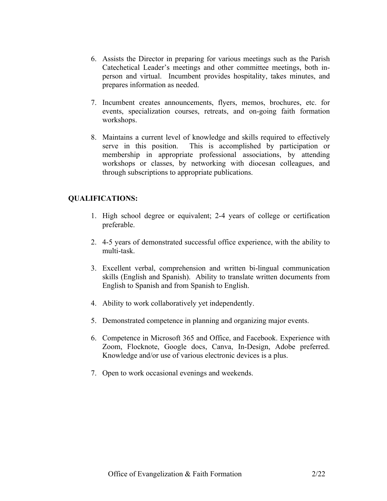- 6. Assists the Director in preparing for various meetings such as the Parish Catechetical Leader's meetings and other committee meetings, both inperson and virtual. Incumbent provides hospitality, takes minutes, and prepares information as needed.
- 7. Incumbent creates announcements, flyers, memos, brochures, etc. for events, specialization courses, retreats, and on-going faith formation workshops.
- 8. Maintains a current level of knowledge and skills required to effectively serve in this position. This is accomplished by participation or membership in appropriate professional associations, by attending workshops or classes, by networking with diocesan colleagues, and through subscriptions to appropriate publications.

## **QUALIFICATIONS:**

- 1. High school degree or equivalent; 2-4 years of college or certification preferable.
- 2. 4-5 years of demonstrated successful office experience, with the ability to multi-task.
- 3. Excellent verbal, comprehension and written bi-lingual communication skills (English and Spanish). Ability to translate written documents from English to Spanish and from Spanish to English.
- 4. Ability to work collaboratively yet independently.
- 5. Demonstrated competence in planning and organizing major events.
- 6. Competence in Microsoft 365 and Office, and Facebook. Experience with Zoom, Flocknote, Google docs, Canva, In-Design, Adobe preferred. Knowledge and/or use of various electronic devices is a plus.
- 7. Open to work occasional evenings and weekends.